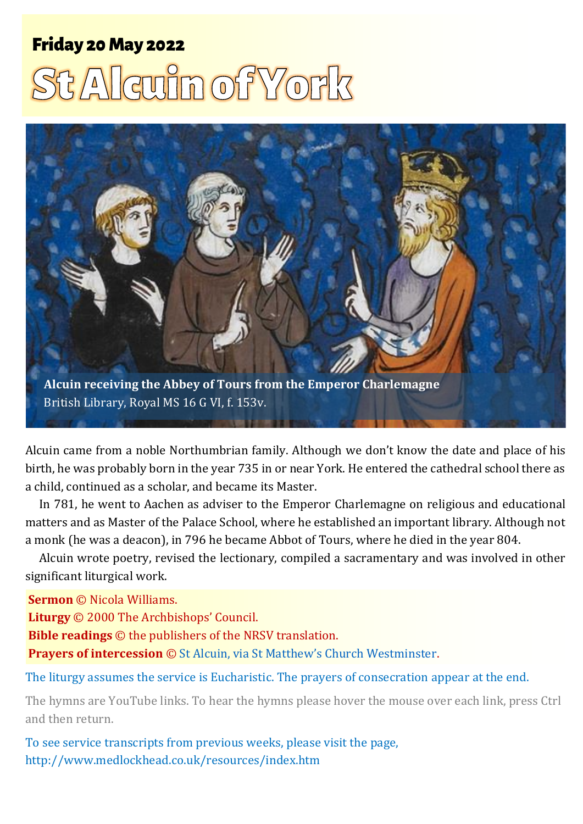# **Friday 20 May 2022** t Alguin of York



Alcuin came from a noble Northumbrian family. Although we don't know the date and place of his birth, he was probably born in the year 735 in or near York. He entered the cathedral school there as a child, continued as a scholar, and became its Master.

In 781, he went to Aachen as adviser to the Emperor Charlemagne on religious and educational matters and as Master of the Palace School, where he established an important library. Although not a monk (he was a deacon), in 796 he became Abbot of Tours, where he died in the year 804.

Alcuin wrote poetry, revised the lectionary, compiled a sacramentary and was involved in other significant liturgical work.

**Sermon** © Nicola Williams.

**Liturgy** © 2000 The Archbishops' Council.

**Bible readings** © the publishers of the NRSV translation.

**Prayers of intercession** © [St Alcuin, via St Matthew's Church Westminster](https://www.stmw.org/alcuin.html).

The liturgy assumes the service is Eucharistic. The prayers of consecration appear at the end.

The hymns are YouTube links. To hear the hymns please hover the mouse over each link, press Ctrl and then return.

To see service transcripts from previous weeks, please visit the page, <http://www.medlockhead.co.uk/resources/index.htm>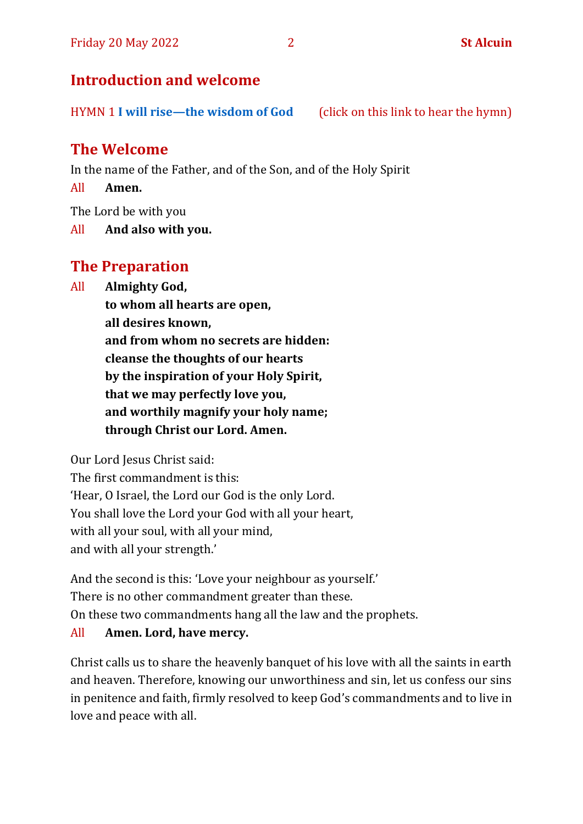# **Introduction and welcome**

HYMN 1 **I will rise—[the wisdom of God](https://www.youtube.com/watch?v=4uTIqu8G-34)** (click on this link to hear the hymn)

# **The Welcome**

In the name of the Father, and of the Son, and of the Holy Spirit

All **Amen.**

The Lord be with you

All **And also with you.**

# **The Preparation**

All **Almighty God,**

**to whom all hearts are open, all desires known, and from whom no secrets are hidden: cleanse the thoughts of our hearts by the inspiration of your Holy Spirit, that we may perfectly love you, and worthily magnify your holy name; through Christ our Lord. Amen.**

Our Lord Jesus Christ said:

The first commandment is this: 'Hear, O Israel, the Lord our God is the only Lord. You shall love the Lord your God with all your heart, with all your soul, with all your mind, and with all your strength.'

And the second is this: 'Love your neighbour as yourself.' There is no other commandment greater than these. On these two commandments hang all the law and the prophets.

#### All **Amen. Lord, have mercy.**

Christ calls us to share the heavenly banquet of his love with all the saints in earth and heaven. Therefore, knowing our unworthiness and sin, let us confess our sins in penitence and faith, firmly resolved to keep God's commandments and to live in love and peace with all.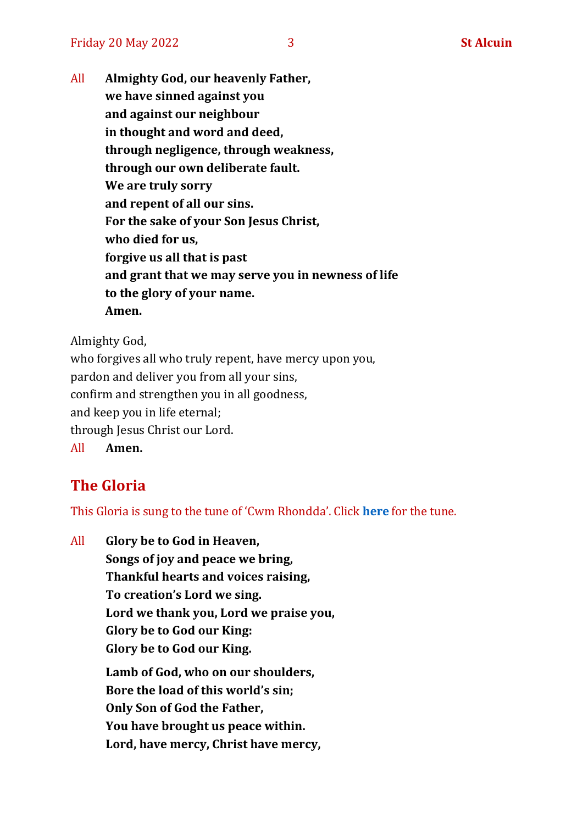All **Almighty God, our heavenly Father, we have sinned against you and against our neighbour in thought and word and deed, through negligence, through weakness, through our own deliberate fault. We are truly sorry and repent of all our sins. For the sake of your Son Jesus Christ, who died for us, forgive us all that is past and grant that we may serve you in newness of life to the glory of your name. Amen.**

Almighty God,

who forgives all who truly repent, have mercy upon you, pardon and deliver you from all your sins, confirm and strengthen you in all goodness, and keep you in life eternal; through Jesus Christ our Lord. All **Amen.**

# **The Gloria**

This Gloria is sung to the tune of 'Cwm Rhondda'. Click **[here](https://www.youtube.com/watch?v=l71MLQ22dIk)** for the tune.

All **Glory be to God in Heaven, Songs of joy and peace we bring, Thankful hearts and voices raising, To creation's Lord we sing. Lord we thank you, Lord we praise you, Glory be to God our King: Glory be to God our King. Lamb of God, who on our shoulders, Bore the load of this world's sin; Only Son of God the Father, You have brought us peace within. Lord, have mercy, Christ have mercy,**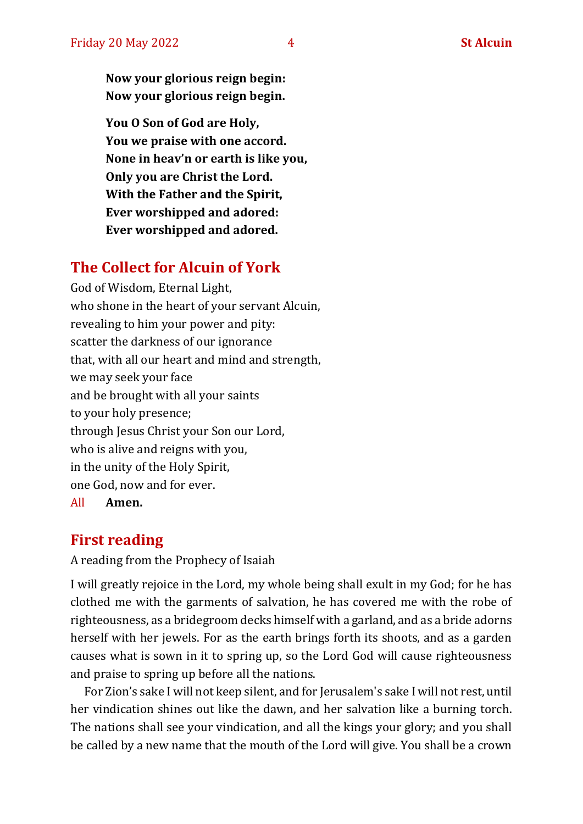**Now your glorious reign begin: Now your glorious reign begin.**

**You O Son of God are Holy, You we praise with one accord. None in heav'n or earth is like you, Only you are Christ the Lord. With the Father and the Spirit, Ever worshipped and adored: Ever worshipped and adored.**

## **The Collect for Alcuin of York**

God of Wisdom, Eternal Light, who shone in the heart of your servant Alcuin, revealing to him your power and pity: scatter the darkness of our ignorance that, with all our heart and mind and strength, we may seek your face and be brought with all your saints to your holy presence; through Jesus Christ your Son our Lord, who is alive and reigns with you, in the unity of the Holy Spirit, one God, now and for ever. All **Amen.**

#### **First reading**

A reading from the Prophecy of Isaiah

I will greatly rejoice in the Lord, my whole being shall exult in my God; for he has clothed me with the garments of salvation, he has covered me with the robe of righteousness, as a bridegroom decks himself with a garland, and as a bride adorns herself with her jewels. For as the earth brings forth its shoots, and as a garden causes what is sown in it to spring up, so the Lord God will cause righteousness and praise to spring up before all the nations.

For Zion's sake I will not keep silent, and for Jerusalem's sake I will not rest, until her vindication shines out like the dawn, and her salvation like a burning torch. The nations shall see your vindication, and all the kings your glory; and you shall be called by a new name that the mouth of the Lord will give. You shall be a crown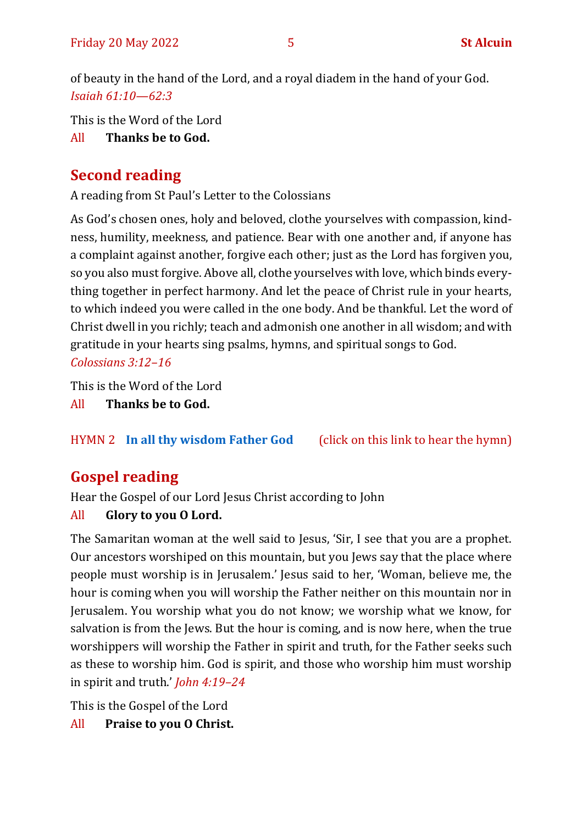of beauty in the hand of the Lord, and a royal diadem in the hand of your God. *Isaiah 61:10—62:3*

This is the Word of the Lord

All **Thanks be to God.**

# **Second reading**

A reading from St Paul's Letter to the Colossians

As God's chosen ones, holy and beloved, clothe yourselves with compassion, kindness, humility, meekness, and patience. Bear with one another and, if anyone has a complaint against another, forgive each other; just as the Lord has forgiven you, so you also must forgive. Above all, clothe yourselves with love, which binds everything together in perfect harmony. And let the peace of Christ rule in your hearts, to which indeed you were called in the one body. And be thankful. Let the word of Christ dwell in you richly; teach and admonish one another in all wisdom; and with gratitude in your hearts sing psalms, hymns, and spiritual songs to God. *Colossians 3:12–16*

This is the Word of the Lord

All **Thanks be to God.**

HYMN 2 **[In all thy wisdom Father God](https://www.youtube.com/watch?v=3p57spSD0Zw)** (click on this link to hear the hymn)

# **Gospel reading**

Hear the Gospel of our Lord Jesus Christ according to John

# All **Glory to you O Lord.**

The Samaritan woman at the well said to Jesus, 'Sir, I see that you are a prophet. Our ancestors worshiped on this mountain, but you Jews say that the place where people must worship is in Jerusalem.' Jesus said to her, 'Woman, believe me, the hour is coming when you will worship the Father neither on this mountain nor in Jerusalem. You worship what you do not know; we worship what we know, for salvation is from the Jews. But the hour is coming, and is now here, when the true worshippers will worship the Father in spirit and truth, for the Father seeks such as these to worship him. God is spirit, and those who worship him must worship in spirit and truth.' *John 4:19–24*

This is the Gospel of the Lord

All **Praise to you O Christ.**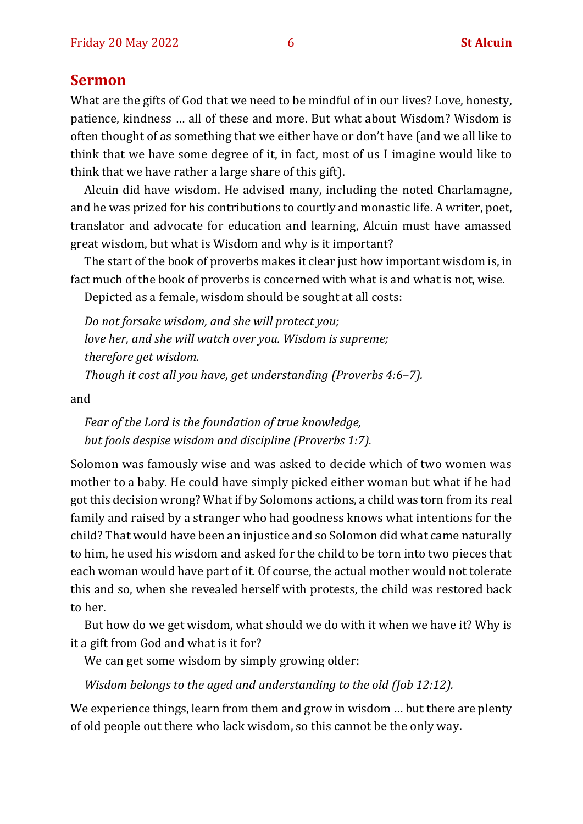#### **Sermon**

What are the gifts of God that we need to be mindful of in our lives? Love, honesty, patience, kindness … all of these and more. But what about Wisdom? Wisdom is often thought of as something that we either have or don't have (and we all like to think that we have some degree of it, in fact, most of us I imagine would like to think that we have rather a large share of this gift).

Alcuin did have wisdom. He advised many, including the noted Charlamagne, and he was prized for his contributions to courtly and monastic life. A writer, poet, translator and advocate for education and learning, Alcuin must have amassed great wisdom, but what is Wisdom and why is it important?

The start of the book of proverbs makes it clear just how important wisdom is, in fact much of the book of proverbs is concerned with what is and what is not, wise.

Depicted as a female, wisdom should be sought at all costs:

*Do not forsake wisdom, and she will protect you; love her, and she will watch over you. Wisdom is supreme; therefore get wisdom. Though it cost all you have, get understanding (Proverbs 4:6–7).*

and

*Fear of the Lord is the foundation of true knowledge, but fools despise wisdom and discipline (Proverbs 1:7).*

Solomon was famously wise and was asked to decide which of two women was mother to a baby. He could have simply picked either woman but what if he had got this decision wrong? What if by Solomons actions, a child was torn from its real family and raised by a stranger who had goodness knows what intentions for the child? That would have been an injustice and so Solomon did what came naturally to him, he used his wisdom and asked for the child to be torn into two pieces that each woman would have part of it. Of course, the actual mother would not tolerate this and so, when she revealed herself with protests, the child was restored back to her.

But how do we get wisdom, what should we do with it when we have it? Why is it a gift from God and what is it for?

We can get some wisdom by simply growing older:

*Wisdom belongs to the aged and understanding to the old (Job 12:12).*

We experience things, learn from them and grow in wisdom … but there are plenty of old people out there who lack wisdom, so this cannot be the only way.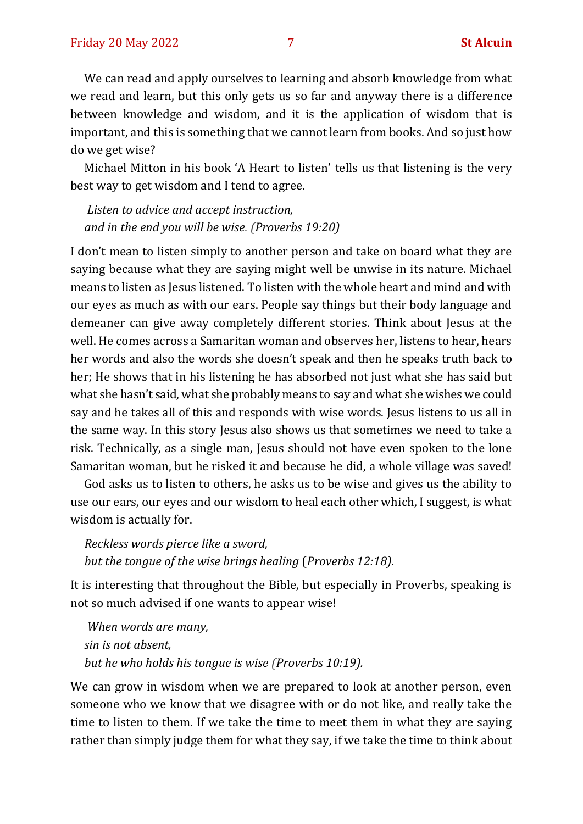We can read and apply ourselves to learning and absorb knowledge from what we read and learn, but this only gets us so far and anyway there is a difference between knowledge and wisdom, and it is the application of wisdom that is important, and this is something that we cannot learn from books. And so just how do we get wise?

Michael Mitton in his book 'A Heart to listen' tells us that listening is the very best way to get wisdom and I tend to agree.

*Listen to advice and accept instruction, and in the end you will be wise. (Proverbs 19:20)*

I don't mean to listen simply to another person and take on board what they are saying because what they are saying might well be unwise in its nature. Michael means to listen as Jesus listened. To listen with the whole heart and mind and with our eyes as much as with our ears. People say things but their body language and demeaner can give away completely different stories. Think about Jesus at the well. He comes across a Samaritan woman and observes her, listens to hear, hears her words and also the words she doesn't speak and then he speaks truth back to her; He shows that in his listening he has absorbed not just what she has said but what she hasn't said, what she probably means to say and what she wishes we could say and he takes all of this and responds with wise words. Jesus listens to us all in the same way. In this story Jesus also shows us that sometimes we need to take a risk. Technically, as a single man, Jesus should not have even spoken to the lone Samaritan woman, but he risked it and because he did, a whole village was saved!

God asks us to listen to others, he asks us to be wise and gives us the ability to use our ears, our eyes and our wisdom to heal each other which, I suggest, is what wisdom is actually for.

*Reckless words pierce like a sword, but the tongue of the wise brings healing* (*Proverbs 12:18).*

It is interesting that throughout the Bible, but especially in Proverbs, speaking is not so much advised if one wants to appear wise!

*When words are many, sin is not absent, but he who holds his tongue is wise (Proverbs 10:19).*

We can grow in wisdom when we are prepared to look at another person, even someone who we know that we disagree with or do not like, and really take the time to listen to them. If we take the time to meet them in what they are saying rather than simply judge them for what they say, if we take the time to think about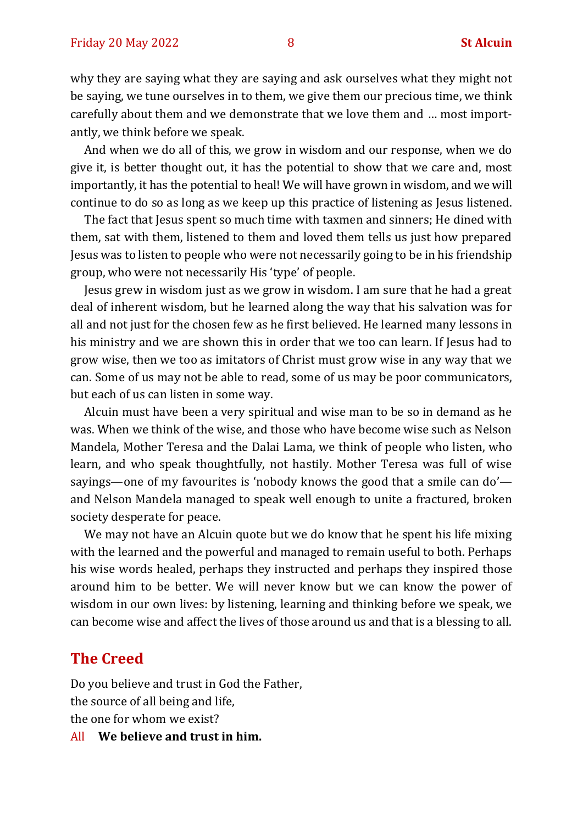why they are saying what they are saying and ask ourselves what they might not be saying, we tune ourselves in to them, we give them our precious time, we think carefully about them and we demonstrate that we love them and … most importantly, we think before we speak.

And when we do all of this, we grow in wisdom and our response, when we do give it, is better thought out, it has the potential to show that we care and, most importantly, it has the potential to heal! We will have grown in wisdom, and we will continue to do so as long as we keep up this practice of listening as Jesus listened.

The fact that Jesus spent so much time with taxmen and sinners; He dined with them, sat with them, listened to them and loved them tells us just how prepared Jesus was to listen to people who were not necessarily going to be in his friendship group, who were not necessarily His 'type' of people.

Jesus grew in wisdom just as we grow in wisdom. I am sure that he had a great deal of inherent wisdom, but he learned along the way that his salvation was for all and not just for the chosen few as he first believed. He learned many lessons in his ministry and we are shown this in order that we too can learn. If Jesus had to grow wise, then we too as imitators of Christ must grow wise in any way that we can. Some of us may not be able to read, some of us may be poor communicators, but each of us can listen in some way.

Alcuin must have been a very spiritual and wise man to be so in demand as he was. When we think of the wise, and those who have become wise such as Nelson Mandela, Mother Teresa and the Dalai Lama, we think of people who listen, who learn, and who speak thoughtfully, not hastily. Mother Teresa was full of wise sayings—one of my favourites is 'nobody knows the good that a smile can do' and Nelson Mandela managed to speak well enough to unite a fractured, broken society desperate for peace.

We may not have an Alcuin quote but we do know that he spent his life mixing with the learned and the powerful and managed to remain useful to both. Perhaps his wise words healed, perhaps they instructed and perhaps they inspired those around him to be better. We will never know but we can know the power of wisdom in our own lives: by listening, learning and thinking before we speak, we can become wise and affect the lives of those around us and that is a blessing to all.

#### **The Creed**

Do you believe and trust in God the Father, the source of all being and life, the one for whom we exist? All **We believe and trust in him.**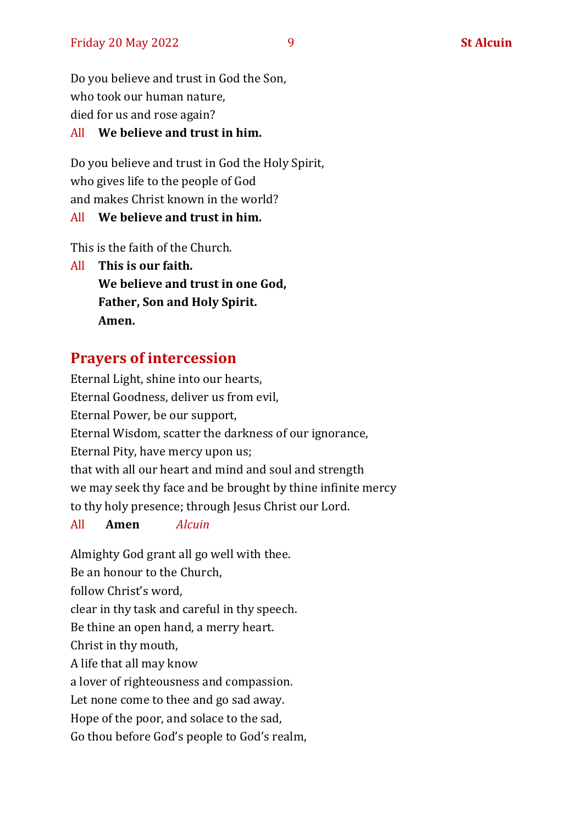Do you believe and trust in God the Son, who took our human nature, died for us and rose again?

#### All **We believe and trust in him.**

Do you believe and trust in God the Holy Spirit, who gives life to the people of God and makes Christ known in the world?

#### All **We believe and trust in him.**

This is the faith of the Church.

All **This is our faith. We believe and trust in one God, Father, Son and Holy Spirit. Amen.**

# **Prayers of intercession**

Eternal Light, shine into our hearts, Eternal Goodness, deliver us from evil, Eternal Power, be our support, Eternal Wisdom, scatter the darkness of our ignorance, Eternal Pity, have mercy upon us; that with all our heart and mind and soul and strength we may seek thy face and be brought by thine infinite mercy to thy holy presence; through Jesus Christ our Lord.

#### All **Amen** *Alcuin*

Almighty God grant all go well with thee. Be an honour to the Church, follow Christ's word, clear in thy task and careful in thy speech. Be thine an open hand, a merry heart. Christ in thy mouth, A life that all may know a lover of righteousness and compassion. Let none come to thee and go sad away. Hope of the poor, and solace to the sad, Go thou before God's people to God's realm,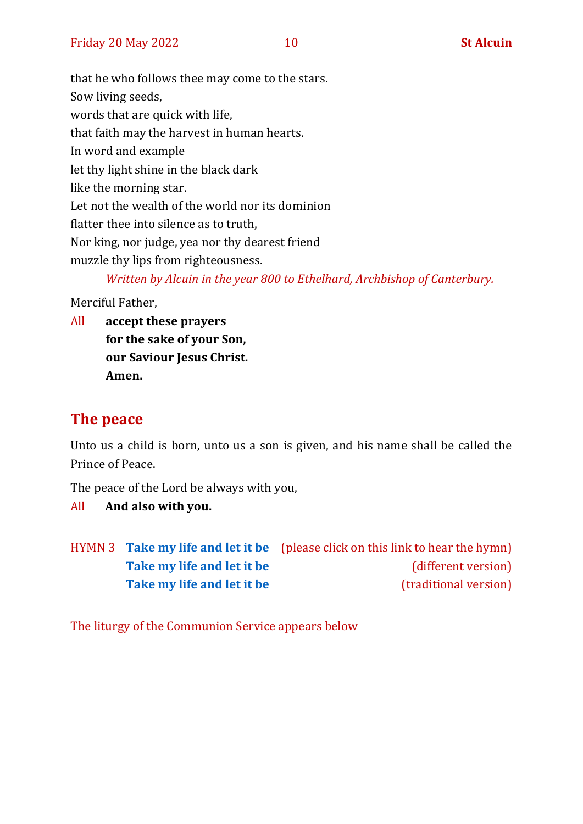that he who follows thee may come to the stars. Sow living seeds, words that are quick with life, that faith may the harvest in human hearts. In word and example let thy light shine in the black dark like the morning star. Let not the wealth of the world nor its dominion flatter thee into silence as to truth, Nor king, nor judge, yea nor thy dearest friend muzzle thy lips from righteousness. *Written by Alcuin in the year 800 to Ethelhard, Archbishop of Canterbury.* 

Merciful Father,

All **accept these prayers for the sake of your Son, our Saviour Jesus Christ. Amen.**

# **The peace**

Unto us a child is born, unto us a son is given, and his name shall be called the Prince of Peace.

The peace of the Lord be always with you,

All **And also with you.**

|                            | HYMN 3 Take my life and let it be (please click on this link to hear the hymn) |
|----------------------------|--------------------------------------------------------------------------------|
| Take my life and let it be | (different version)                                                            |
| Take my life and let it be | (traditional version)                                                          |

The liturgy of the Communion Service appears below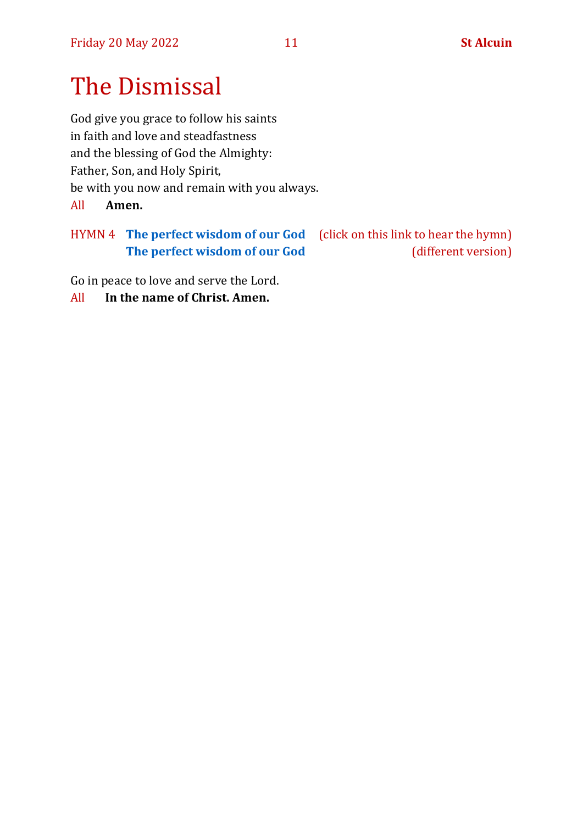# The Dismissal

God give you grace to follow his saints in faith and love and steadfastness and the blessing of God the Almighty: Father, Son, and Holy Spirit, be with you now and remain with you always. All **Amen.**

# HYMN 4 **[The perfect wisdom of our God](https://www.youtube.com/watch?v=hSnzYnOe6kI)** (click on this link to hear the hymn) **[The perfect wisdom of our God](https://www.youtube.com/watch?v=z-22E3dWPUk)** (different version)

Go in peace to love and serve the Lord.

All **In the name of Christ. Amen.**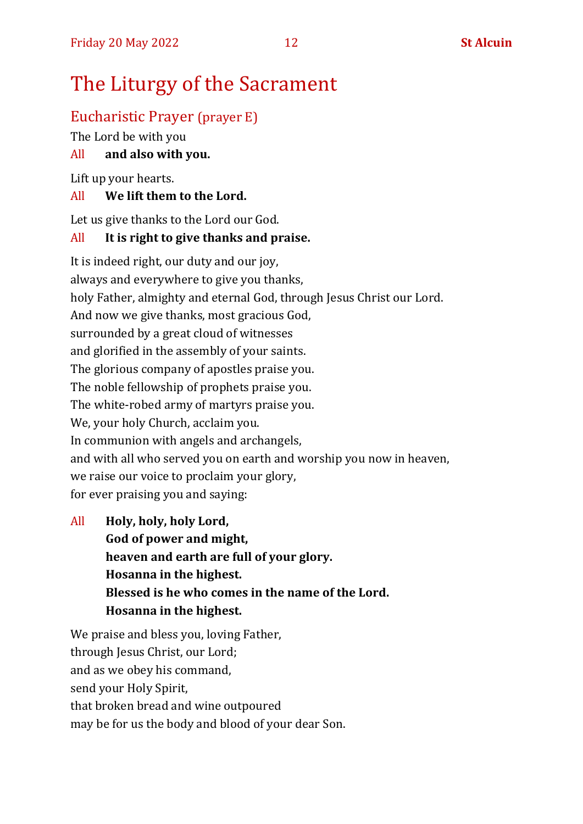# The Liturgy of the Sacrament

# Eucharistic Prayer (prayer E)

The Lord be with you

## All **and also with you.**

Lift up your hearts.

#### All **We lift them to the Lord.**

Let us give thanks to the Lord our God.

#### All **It is right to give thanks and praise.**

It is indeed right, our duty and our joy, always and everywhere to give you thanks, holy Father, almighty and eternal God, through Jesus Christ our Lord. And now we give thanks, most gracious God, surrounded by a great cloud of witnesses and glorified in the assembly of your saints. The glorious company of apostles praise you. The noble fellowship of prophets praise you. The white-robed army of martyrs praise you. We, your holy Church, acclaim you. In communion with angels and archangels, and with all who served you on earth and worship you now in heaven, we raise our voice to proclaim your glory, for ever praising you and saying:

All **Holy, holy, holy Lord, God of power and might, heaven and earth are full of your glory. Hosanna in the highest. Blessed is he who comes in the name of the Lord. Hosanna in the highest.**

We praise and bless you, loving Father, through Jesus Christ, our Lord; and as we obey his command, send your Holy Spirit, that broken bread and wine outpoured may be for us the body and blood of your dear Son.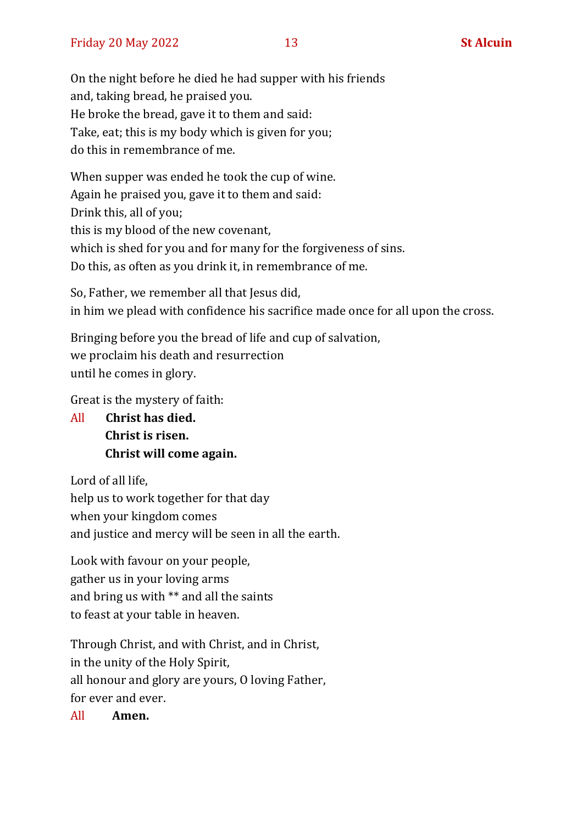On the night before he died he had supper with his friends and, taking bread, he praised you. He broke the bread, gave it to them and said: Take, eat; this is my body which is given for you; do this in remembrance of me.

When supper was ended he took the cup of wine. Again he praised you, gave it to them and said: Drink this, all of you; this is my blood of the new covenant, which is shed for you and for many for the forgiveness of sins. Do this, as often as you drink it, in remembrance of me.

So, Father, we remember all that Jesus did, in him we plead with confidence his sacrifice made once for all upon the cross.

Bringing before you the bread of life and cup of salvation, we proclaim his death and resurrection until he comes in glory.

Great is the mystery of faith:

All **Christ has died. Christ is risen. Christ will come again.**

Lord of all life, help us to work together for that day when your kingdom comes and justice and mercy will be seen in all the earth.

Look with favour on your people, gather us in your loving arms and bring us with \*\* and all the saints to feast at your table in heaven.

Through Christ, and with Christ, and in Christ, in the unity of the Holy Spirit, all honour and glory are yours, O loving Father, for ever and ever.

All **Amen.**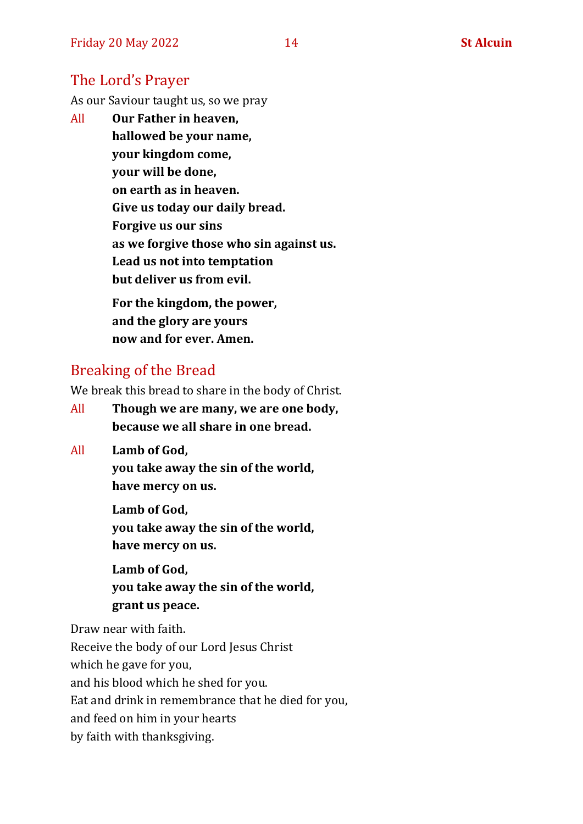## The Lord's Prayer

As our Saviour taught us, so we pray

All **Our Father in heaven, hallowed be your name, your kingdom come, your will be done, on earth as in heaven. Give us today our daily bread. Forgive us our sins as we forgive those who sin against us. Lead us not into temptation but deliver us from evil. For the kingdom, the power,** 

**and the glory are yours now and for ever. Amen.**

## Breaking of the Bread

We break this bread to share in the body of Christ.

- All **Though we are many, we are one body, because we all share in one bread.**
- All **Lamb of God,**

**you take away the sin of the world, have mercy on us.**

**Lamb of God, you take away the sin of the world, have mercy on us.**

**Lamb of God, you take away the sin of the world, grant us peace.**

Draw near with faith.

Receive the body of our Lord Jesus Christ

which he gave for you,

and his blood which he shed for you.

Eat and drink in remembrance that he died for you,

and feed on him in your hearts

by faith with thanksgiving.